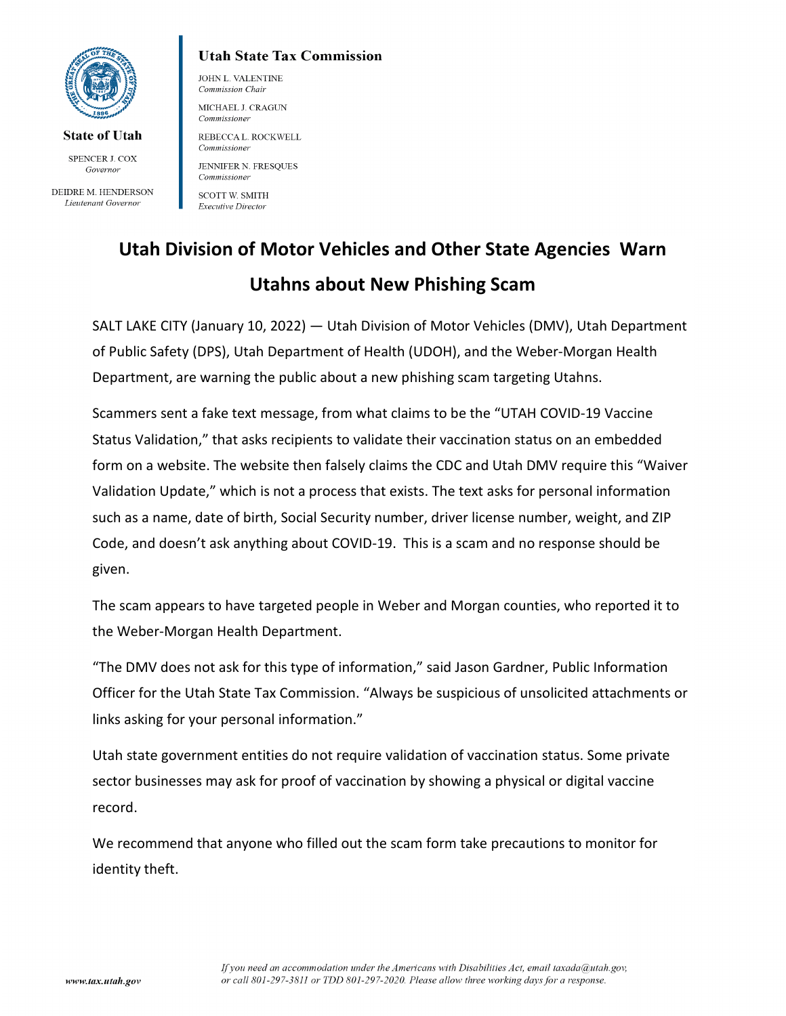

**State of Utah** 

SPENCER J. COX Governor

DEIDRE M. HENDERSON Lieutenant Governor

## **Utah State Tax Commission**

JOHN L. VALENTINE Commission Chair MICHAEL J. CRAGUN Commissioner

REBECCA L. ROCKWELL Commissioner

JENNIFER N. FRESQUES Commissioner

**SCOTT W. SMITH Executive Director** 

# **Utah Division of Motor Vehicles and Other State Agencies Warn Utahns about New Phishing Scam**

SALT LAKE CITY (January 10, 2022) — Utah Division of Motor Vehicles (DMV), Utah Department of Public Safety (DPS), Utah Department of Health (UDOH), and the Weber-Morgan Health Department, are warning the public about a new phishing scam targeting Utahns.

Scammers sent a fake text message, from what claims to be the "UTAH COVID-19 Vaccine Status Validation," that asks recipients to validate their vaccination status on an embedded form on a website. The website then falsely claims the CDC and Utah DMV require this "Waiver Validation Update," which is not a process that exists. The text asks for personal information such as a name, date of birth, Social Security number, driver license number, weight, and ZIP Code, and doesn't ask anything about COVID-19. This is a scam and no response should be given.

The scam appears to have targeted people in Weber and Morgan counties, who reported it to the Weber-Morgan Health Department.

"The DMV does not ask for this type of information," said Jason Gardner, Public Information Officer for the Utah State Tax Commission. "Always be suspicious of unsolicited attachments or links asking for your personal information."

Utah state government entities do not require validation of vaccination status. Some private sector businesses may ask for proof of vaccination by showing a physical or digital vaccine record.

We recommend that anyone who filled out the scam form take precautions to monitor for identity theft.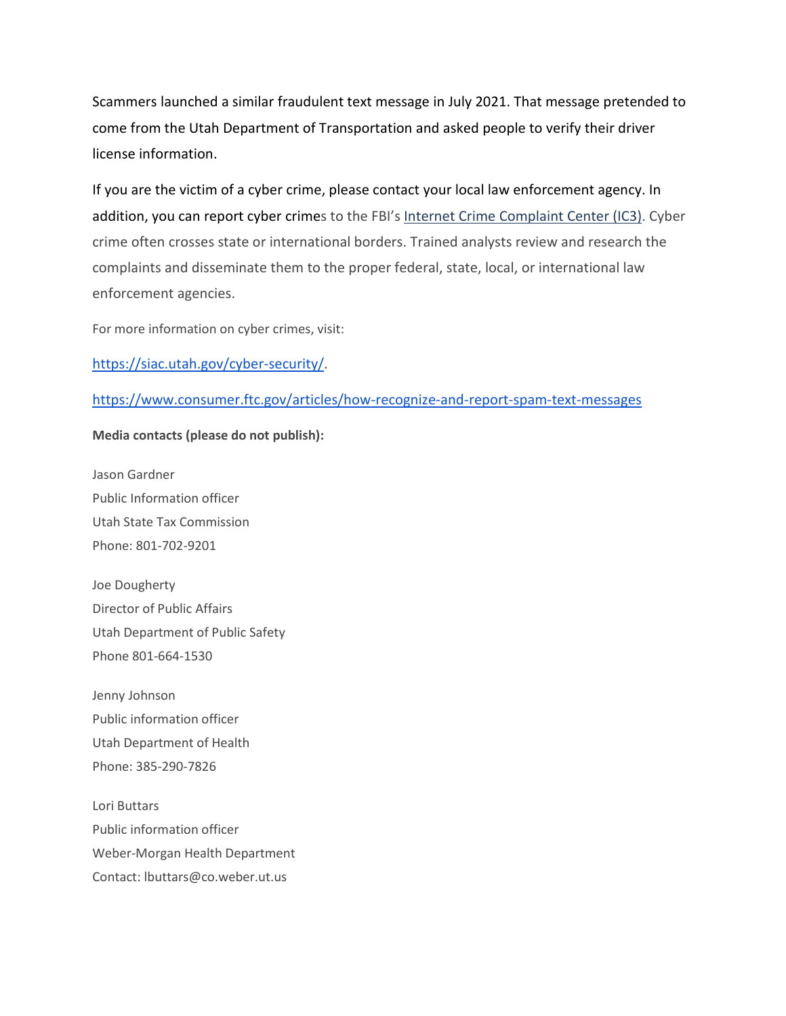Scammers launched a similar fraudulent text message in July 2021. That message pretended to come from the Utah Department of Transportation and asked people to verify their driver license information.

If you are the victim of a cyber crime, please contact your local law enforcement agency. In addition, you can report cyber crimes to the FBI's [Internet Crime Complaint Center \(IC3\).](https://www.ic3.gov/complaint/default.aspx/) Cyber crime often crosses state or international borders. Trained analysts review and research the complaints and disseminate them to the proper federal, state, local, or international law enforcement agencies.

For more information on cyber crimes, visit[:](https://siac.utah.gov/cyber-security/)

### [https://siac.utah.gov/cyber-security/.](https://siac.utah.gov/cyber-security/)

#### <https://www.consumer.ftc.gov/articles/how-recognize-and-report-spam-text-messages>

#### **Media contacts (please do not publish):**

Jason Gardner Public Information officer Utah State Tax Commission Phone: 801-702-9201

Joe Dougherty Director of Public Affairs Utah Department of Public Safety Phone 801-664-1530

Jenny Johnson Public information officer Utah Department of Health Phone: 385-290-7826

Lori Buttars Public information officer Weber-Morgan Health Department Contact: lbuttars@co.weber.ut.us